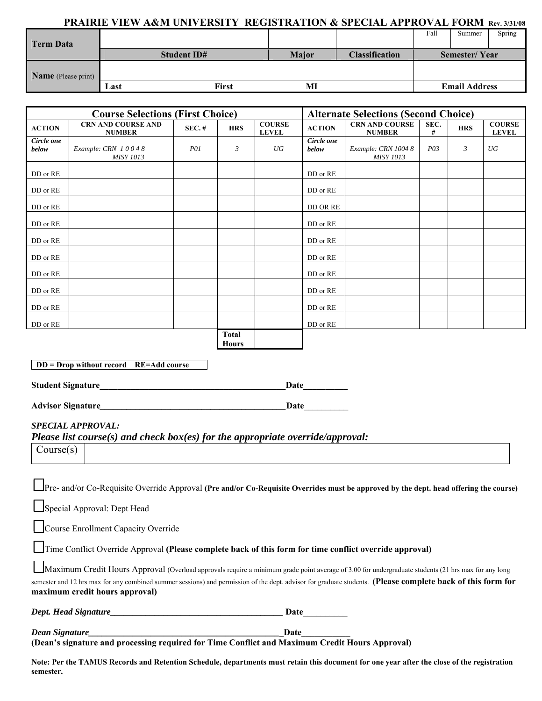#### **PRAIRIE VIEW A&M UNIVERSITY REGISTRATION & SPECIAL APPROVAL FORM Rev. 3/31/08**

|                     |                    |              |              |                       | Fall                 | Summer               | Spring |
|---------------------|--------------------|--------------|--------------|-----------------------|----------------------|----------------------|--------|
| <b>Term Data</b>    |                    |              |              |                       |                      |                      |        |
|                     | <b>Student ID#</b> |              | <b>Major</b> | <b>Classification</b> | <b>Semester/Year</b> |                      |        |
|                     |                    |              |              |                       |                      |                      |        |
| Name (Please print) |                    |              |              |                       |                      |                      |        |
|                     | Last               | <b>First</b> | MI           |                       |                      | <b>Email Address</b> |        |

| <b>Course Selections (First Choice)</b> |                                            |            |                       | <b>Alternate Selections (Second Choice)</b> |                     |                                         |                 |                |                               |
|-----------------------------------------|--------------------------------------------|------------|-----------------------|---------------------------------------------|---------------------|-----------------------------------------|-----------------|----------------|-------------------------------|
| <b>ACTION</b>                           | <b>CRN AND COURSE AND</b><br><b>NUMBER</b> | SEC.~#     | <b>HRS</b>            | <b>COURSE</b><br><b>LEVEL</b>               | <b>ACTION</b>       | <b>CRN AND COURSE</b><br><b>NUMBER</b>  | SEC.<br>#       | <b>HRS</b>     | <b>COURSE</b><br><b>LEVEL</b> |
| Circle one<br>below                     | Example: CRN 10048<br><b>MISY 1013</b>     | <i>P01</i> | 3                     | UG                                          | Circle one<br>below | Example: CRN 1004 8<br><b>MISY 1013</b> | P <sub>03</sub> | $\mathfrak{Z}$ | UG                            |
| DD or RE                                |                                            |            |                       |                                             | DD or RE            |                                         |                 |                |                               |
| DD or RE                                |                                            |            |                       |                                             | DD or RE            |                                         |                 |                |                               |
| DD or RE                                |                                            |            |                       |                                             | DD OR RE            |                                         |                 |                |                               |
| DD or RE                                |                                            |            |                       |                                             | DD or RE            |                                         |                 |                |                               |
| DD or RE                                |                                            |            |                       |                                             | DD or RE            |                                         |                 |                |                               |
| DD or RE                                |                                            |            |                       |                                             | DD or RE            |                                         |                 |                |                               |
| DD or RE                                |                                            |            |                       |                                             | DD or RE            |                                         |                 |                |                               |
| DD or RE                                |                                            |            |                       |                                             | DD or RE            |                                         |                 |                |                               |
| DD or RE                                |                                            |            |                       |                                             | DD or RE            |                                         |                 |                |                               |
| DD or RE                                |                                            |            |                       |                                             | DD or RE            |                                         |                 |                |                               |
|                                         |                                            |            | Total<br><b>Hours</b> |                                             |                     |                                         |                 |                |                               |

**DD = Drop without record RE=Add course Student Signature\_\_\_\_\_\_\_\_\_\_\_\_\_\_\_\_\_\_\_\_\_\_\_\_\_\_\_\_\_\_\_\_\_\_\_\_\_\_\_\_\_\_Date\_\_\_\_\_\_\_\_\_\_** 

**Advisor Signature***\_\_\_\_\_\_\_\_\_\_\_\_\_\_\_\_\_\_\_\_\_\_\_\_\_\_\_\_\_\_\_\_\_\_\_\_\_\_\_\_\_\_***Date\_\_\_\_\_\_\_\_\_\_** 

### *SPECIAL APPROVAL:*

*Please list course(s) and check box(es) for the appropriate override/approval:* 

Course(s)

| Pre- and/or Co-Requisite Override Approval (Pre and/or Co-Requisite Overrides must be approved by the dept. head offering the course) |
|---------------------------------------------------------------------------------------------------------------------------------------|
| Special Approval: Dept Head                                                                                                           |

Course Enrollment Capacity Override

Time Conflict Override Approval **(Please complete back of this form for time conflict override approval)** 

Maximum Credit Hours Approval (Overload approvals require a minimum grade point average of 3.00 for undergraduate students (21 hrs max for any long semester and 12 hrs max for any combined summer sessions) and permission of the dept. advisor for graduate students. **(Please complete back of this form for maximum credit hours approval)**

*Dept. Head Signature* **Date Date Date Date** 

*Dean Signature* Date **(Dean's signature and processing required for Time Conflict and Maximum Credit Hours Approval)** 

**Note: Per the TAMUS Records and Retention Schedule, departments must retain this document for one year after the close of the registration semester.**